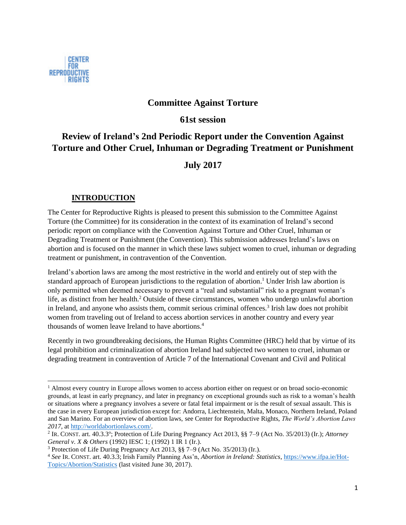

 $\overline{a}$ 

## **Committee Against Torture**

**61st session**

# **Review of Ireland's 2nd Periodic Report under the Convention Against Torture and Other Cruel, Inhuman or Degrading Treatment or Punishment**

# **July 2017**

#### **INTRODUCTION**

The Center for Reproductive Rights is pleased to present this submission to the Committee Against Torture (the Committee) for its consideration in the context of its examination of Ireland's second periodic report on compliance with the Convention Against Torture and Other Cruel, Inhuman or Degrading Treatment or Punishment (the Convention). This submission addresses Ireland's laws on abortion and is focused on the manner in which these laws subject women to cruel, inhuman or degrading treatment or punishment, in contravention of the Convention.

Ireland's abortion laws are among the most restrictive in the world and entirely out of step with the standard approach of European jurisdictions to the regulation of abortion.<sup>1</sup> Under Irish law abortion is only permitted when deemed necessary to prevent a "real and substantial" risk to a pregnant woman's life, as distinct from her health.<sup>2</sup> Outside of these circumstances, women who undergo unlawful abortion in Ireland, and anyone who assists them, commit serious criminal offences.<sup>3</sup> Irish law does not prohibit women from traveling out of Ireland to access abortion services in another country and every year thousands of women leave Ireland to have abortions.<sup>4</sup>

Recently in two groundbreaking decisions, the Human Rights Committee (HRC) held that by virtue of its legal prohibition and criminalization of abortion Ireland had subjected two women to cruel, inhuman or degrading treatment in contravention of Article 7 of the International Covenant and Civil and Political

<sup>&</sup>lt;sup>1</sup> Almost every country in Europe allows women to access abortion either on request or on broad socio-economic grounds, at least in early pregnancy, and later in pregnancy on exceptional grounds such as risk to a woman's health or situations where a pregnancy involves a severe or fatal fetal impairment or is the result of sexual assault. This is the case in every European jurisdiction except for: Andorra, Liechtenstein, Malta, Monaco, Northern Ireland, Poland and San Marino. For an overview of abortion laws, see Center for Reproductive Rights, *The World's Abortion Laws 2017*, a[t http://worldabortionlaws.com/.](http://worldabortionlaws.com/)

<sup>&</sup>lt;sup>2</sup> IR. CONST. art. 40.3.3°; Protection of Life During Pregnancy Act 2013, §§ 7–9 (Act No. 35/2013) (Ir.); *Attorney General v. X & Others* (1992) IESC 1; (1992) 1 IR 1 (Ir.).

<sup>3</sup> Protection of Life During Pregnancy Act 2013, §§ 7–9 (Act No. 35/2013) (Ir.).

<sup>4</sup> *See* IR. CONST. art. 40.3.3; Irish Family Planning Ass'n, *Abortion in Ireland: Statistics*, [https://www.ifpa.ie/Hot-](https://www.ifpa.ie/Hot-Topics/Abortion/Statistics)[Topics/Abortion/Statistics](https://www.ifpa.ie/Hot-Topics/Abortion/Statistics) (last visited June 30, 2017).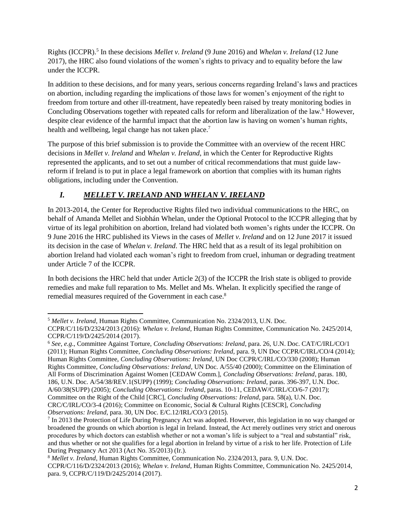Rights (ICCPR).<sup>5</sup> In these decisions *Mellet v. Ireland* (9 June 2016) and *Whelan v. Ireland* (12 June 2017), the HRC also found violations of the women's rights to privacy and to equality before the law under the ICCPR.

In addition to these decisions, and for many years, serious concerns regarding Ireland's laws and practices on abortion, including regarding the implications of those laws for women's enjoyment of the right to freedom from torture and other ill-treatment, have repeatedly been raised by treaty monitoring bodies in Concluding Observations together with repeated calls for reform and liberalization of the law.<sup>6</sup> However, despite clear evidence of the harmful impact that the abortion law is having on women's human rights, health and wellbeing, legal change has not taken place.<sup>7</sup>

The purpose of this brief submission is to provide the Committee with an overview of the recent HRC decisions in *Mellet v. Ireland* and *Whelan v. Ireland*, in which the Center for Reproductive Rights represented the applicants, and to set out a number of critical recommendations that must guide lawreform if Ireland is to put in place a legal framework on abortion that complies with its human rights obligations, including under the Convention.

# *I. MELLET V. IRELAND* **AND** *WHELAN V. IRELAND*

In 2013-2014, the Center for Reproductive Rights filed two individual communications to the HRC, on behalf of Amanda Mellet and Siobhán Whelan, under the Optional Protocol to the ICCPR alleging that by virtue of its legal prohibition on abortion, Ireland had violated both women's rights under the ICCPR. On 9 June 2016 the HRC published its Views in the cases of *Mellet v. Ireland* and on 12 June 2017 it issued its decision in the case of *Whelan v. Ireland*. The HRC held that as a result of its legal prohibition on abortion Ireland had violated each woman's right to freedom from cruel, inhuman or degrading treatment under Article 7 of the ICCPR.

In both decisions the HRC held that under Article 2(3) of the ICCPR the Irish state is obliged to provide remedies and make full reparation to Ms. Mellet and Ms. Whelan. It explicitly specified the range of remedial measures required of the Government in each case.<sup>8</sup>

<sup>6</sup> *See, e.g*., Committee Against Torture, *Concluding Observations: Ireland*, para. 26, U.N. Doc. CAT/C/IRL/CO/1 (2011); Human Rights Committee, *Concluding Observations: Ireland*, para. 9, UN Doc CCPR/C/IRL/CO/4 (2014); Human Rights Committee, *Concluding Observations: Ireland*, UN Doc CCPR/C/IRL/CO/330 (2008); Human Rights Committee, *Concluding Observations: Ireland*, UN Doc. A/55/40 (2000); Committee on the Elimination of All Forms of Discrimination Against Women [CEDAW Comm.], *Concluding Observations: Ireland*, paras. 180, 186, U.N. Doc. A/54/38/REV.1(SUPP) (1999); *Concluding Observations: Ireland*, paras. 396-397, U.N. Doc. A/60/38(SUPP) (2005); *Concluding Observations: Ireland*, paras. 10-11, CEDAW/C/IRL/CO/6-7 (2017); Committee on the Right of the Child [CRC], *Concluding Observations: Ireland*, para. 58(a), U.N. Doc. CRC/C/IRL/CO/3-4 (2016); Committee on Economic, Social & Cultural Rights [CESCR], *Concluding Observations: Ireland*, para. 30, UN Doc. E/C.12/IRL/CO/3 (2015).

l <sup>5</sup> *Mellet v. Ireland*, Human Rights Committee, Communication No. 2324/2013, U.N. Doc.

CCPR/C/116/D/2324/2013 (2016): *Whelan v. Ireland*, Human Rights Committee, Communication No. 2425/2014, CCPR/C/119/D/2425/2014 (2017).

<sup>&</sup>lt;sup>7</sup> In 2013 the Protection of Life During Pregnancy Act was adopted. However, this legislation in no way changed or broadened the grounds on which abortion is legal in Ireland. Instead, the Act merely outlines very strict and onerous procedures by which doctors can establish whether or not a woman's life is subject to a "real and substantial" risk, and thus whether or not she qualifies for a legal abortion in Ireland by virtue of a risk to her life. Protection of Life During Pregnancy Act 2013 (Act No. 35/2013) (Ir.).

<sup>8</sup> *Mellet v. Ireland*, Human Rights Committee, Communication No. 2324/2013, para. 9, U.N. Doc. CCPR/C/116/D/2324/2013 (2016); *Whelan v. Ireland*, Human Rights Committee, Communication No. 2425/2014, para. 9, CCPR/C/119/D/2425/2014 (2017).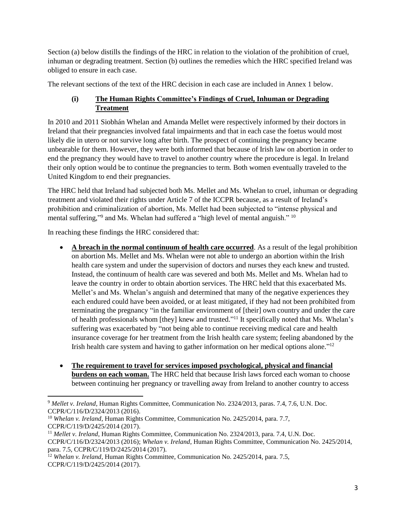Section (a) below distills the findings of the HRC in relation to the violation of the prohibition of cruel, inhuman or degrading treatment. Section (b) outlines the remedies which the HRC specified Ireland was obliged to ensure in each case.

The relevant sections of the text of the HRC decision in each case are included in Annex 1 below.

#### **(i) The Human Rights Committee's Findings of Cruel, Inhuman or Degrading Treatment**

In 2010 and 2011 Siobhán Whelan and Amanda Mellet were respectively informed by their doctors in Ireland that their pregnancies involved fatal impairments and that in each case the foetus would most likely die in utero or not survive long after birth. The prospect of continuing the pregnancy became unbearable for them. However, they were both informed that because of Irish law on abortion in order to end the pregnancy they would have to travel to another country where the procedure is legal. In Ireland their only option would be to continue the pregnancies to term. Both women eventually traveled to the United Kingdom to end their pregnancies.

The HRC held that Ireland had subjected both Ms. Mellet and Ms. Whelan to cruel, inhuman or degrading treatment and violated their rights under Article 7 of the ICCPR because, as a result of Ireland's prohibition and criminalization of abortion, Ms. Mellet had been subjected to "intense physical and mental suffering,"<sup>9</sup> and Ms. Whelan had suffered a "high level of mental anguish." <sup>10</sup>

In reaching these findings the HRC considered that:

- **A breach in the normal continuum of health care occurred**. As a result of the legal prohibition on abortion Ms. Mellet and Ms. Whelan were not able to undergo an abortion within the Irish health care system and under the supervision of doctors and nurses they each knew and trusted. Instead, the continuum of health care was severed and both Ms. Mellet and Ms. Whelan had to leave the country in order to obtain abortion services. The HRC held that this exacerbated Ms. Mellet's and Ms. Whelan's anguish and determined that many of the negative experiences they each endured could have been avoided, or at least mitigated, if they had not been prohibited from terminating the pregnancy "in the familiar environment of [their] own country and under the care of health professionals whom [they] knew and trusted."<sup>11</sup> It specifically noted that Ms. Whelan's suffering was exacerbated by "not being able to continue receiving medical care and health insurance coverage for her treatment from the Irish health care system; feeling abandoned by the Irish health care system and having to gather information on her medical options alone."<sup>12</sup>
- **The requirement to travel for services imposed psychological, physical and financial burdens on each woman.** The HRC held that because Irish laws forced each woman to choose between continuing her pregnancy or travelling away from Ireland to another country to access

<sup>9</sup> *Mellet v. Ireland*, Human Rights Committee, Communication No. 2324/2013, paras. 7.4, 7.6, U.N. Doc. CCPR/C/116/D/2324/2013 (2016).

<sup>&</sup>lt;sup>10</sup> *Whelan v. Ireland*, Human Rights Committee, Communication No. 2425/2014, para. 7.7, CCPR/C/119/D/2425/2014 (2017).

<sup>&</sup>lt;sup>11</sup> Mellet v. Ireland, Human Rights Committee, Communication No. 2324/2013, para. 7.4, U.N. Doc. CCPR/C/116/D/2324/2013 (2016); *Whelan v. Ireland*, Human Rights Committee, Communication No. 2425/2014, para. 7.5, CCPR/C/119/D/2425/2014 (2017).

<sup>&</sup>lt;sup>12</sup> *Whelan v. Ireland*, Human Rights Committee, Communication No. 2425/2014, para. 7.5, CCPR/C/119/D/2425/2014 (2017).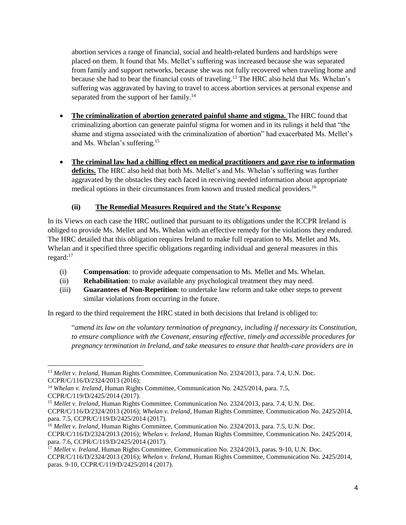abortion services a range of financial, social and health-related burdens and hardships were placed on them. It found that Ms. Mellet's suffering was increased because she was separated from family and support networks, because she was not fully recovered when traveling home and because she had to bear the financial costs of traveling.<sup>13</sup> The HRC also held that Ms. Whelan's suffering was aggravated by having to travel to access abortion services at personal expense and separated from the support of her family.<sup>14</sup>

- **The criminalization of abortion generated painful shame and stigma.** The HRC found that criminalizing abortion can generate painful stigma for women and in its rulings it held that "the shame and stigma associated with the criminalization of abortion" had exacerbated Ms. Mellet's and Ms. Whelan's suffering.<sup>15</sup>
- **The criminal law had a chilling effect on medical practitioners and gave rise to information deficits.** The HRC also held that both Ms. Mellet's and Ms. Whelan's suffering was further aggravated by the obstacles they each faced in receiving needed information about appropriate medical options in their circumstances from known and trusted medical providers.<sup>16</sup>

#### **(ii) The Remedial Measures Required and the State's Response**

In its Views on each case the HRC outlined that pursuant to its obligations under the ICCPR Ireland is obliged to provide Ms. Mellet and Ms. Whelan with an effective remedy for the violations they endured. The HRC detailed that this obligation requires Ireland to make full reparation to Ms. Mellet and Ms. Whelan and it specified three specific obligations regarding individual and general measures in this regard:<sup>17</sup>

- (i) **Compensation**: to provide adequate compensation to Ms. Mellet and Ms. Whelan.
- (ii) **Rehabilitation**: to make available any psychological treatment they may need.
- (iii) **Guarantees of Non-Repetition**: to undertake law reform and take other steps to prevent similar violations from occurring in the future.

In regard to the third requirement the HRC stated in both decisions that Ireland is obliged to:

"*amend its law on the voluntary termination of pregnancy, including if necessary its Constitution, to ensure compliance with the Covenant, ensuring effective, timely and accessible procedures for pregnancy termination in Ireland, and take measures to ensure that health-care providers are in* 

<sup>&</sup>lt;sup>13</sup> Mellet v. Ireland, Human Rights Committee, Communication No. 2324/2013, para. 7.4, U.N. Doc. CCPR/C/116/D/2324/2013 (2016);

<sup>14</sup> *Whelan v. Ireland*, Human Rights Committee, Communication No. 2425/2014, para. 7.5, CCPR/C/119/D/2425/2014 (2017).

<sup>&</sup>lt;sup>15</sup> Mellet v. Ireland, Human Rights Committee, Communication No. 2324/2013, para. 7.4, U.N. Doc.

CCPR/C/116/D/2324/2013 (2016); *Whelan v. Ireland*, Human Rights Committee, Communication No. 2425/2014, para. 7.5, CCPR/C/119/D/2425/2014 (2017).

<sup>&</sup>lt;sup>16</sup> Mellet v. Ireland, Human Rights Committee, Communication No. 2324/2013, para. 7.5, U.N. Doc. CCPR/C/116/D/2324/2013 (2016); *Whelan v. Ireland*, Human Rights Committee, Communication No. 2425/2014, para. 7.6, CCPR/C/119/D/2425/2014 (2017).

<sup>&</sup>lt;sup>17</sup> Mellet v. Ireland, Human Rights Committee, Communication No. 2324/2013, paras. 9-10, U.N. Doc. CCPR/C/116/D/2324/2013 (2016); *Whelan v. Ireland*, Human Rights Committee, Communication No. 2425/2014, paras. 9-10, CCPR/C/119/D/2425/2014 (2017).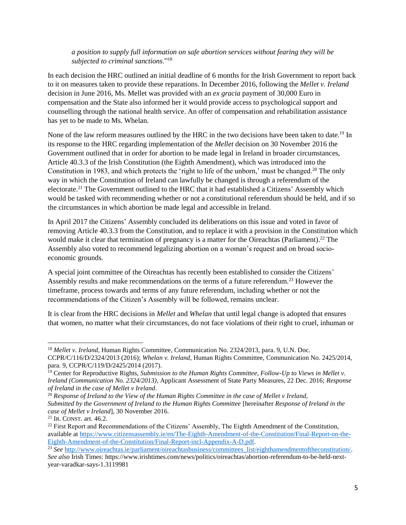#### *a position to supply full information on safe abortion services without fearing they will be subjected to criminal sanctions*."<sup>18</sup>

In each decision the HRC outlined an initial deadline of 6 months for the Irish Government to report back to it on measures taken to provide these reparations. In December 2016, following the *Mellet v. Ireland* decision in June 2016, Ms. Mellet was provided with an *ex gracia* payment of 30,000 Euro in compensation and the State also informed her it would provide access to psychological support and counselling through the national health service. An offer of compensation and rehabilitation assistance has yet to be made to Ms. Whelan.

None of the law reform measures outlined by the HRC in the two decisions have been taken to date.<sup>19</sup> In its response to the HRC regarding implementation of the *Mellet* decision on 30 November 2016 the Government outlined that in order for abortion to be made legal in Ireland in broader circumstances, Article 40.3.3 of the Irish Constitution (the Eighth Amendment), which was introduced into the Constitution in 1983, and which protects the 'right to life of the unborn,' must be changed.<sup>20</sup> The only way in which the Constitution of Ireland can lawfully be changed is through a referendum of the electorate.<sup>21</sup> The Government outlined to the HRC that it had established a Citizens' Assembly which would be tasked with recommending whether or not a constitutional referendum should be held, and if so the circumstances in which abortion be made legal and accessible in Ireland.

In April 2017 the Citizens' Assembly concluded its deliberations on this issue and voted in favor of removing Article 40.3.3 from the Constitution, and to replace it with a provision in the Constitution which would make it clear that termination of pregnancy is a matter for the Oireachtas (Parliament).<sup>22</sup> The Assembly also voted to recommend legalizing abortion on a woman's request and on broad socioeconomic grounds.

A special joint committee of the Oireachtas has recently been established to consider the Citizens' Assembly results and make recommendations on the terms of a future referendum.<sup>23</sup> However the timeframe, process towards and terms of any future referendum, including whether or not the recommendations of the Citizen's Assembly will be followed, remains unclear.

It is clear from the HRC decisions in *Mellet* and *Whelan* that until legal change is adopted that ensures that women, no matter what their circumstances, do not face violations of their right to cruel, inhuman or

<sup>&</sup>lt;sup>18</sup> Mellet v. Ireland, Human Rights Committee, Communication No. 2324/2013, para. 9, U.N. Doc. CCPR/C/116/D/2324/2013 (2016); *Whelan v. Ireland*, Human Rights Committee, Communication No. 2425/2014, para. 9, CCPR/C/119/D/2425/2014 (2017).

<sup>&</sup>lt;sup>19</sup> Center for Reproductive Rights, *Submission to the Human Rights Committee, Follow-Up to Views in Mellet v. Ireland (Communication No. 2324/2013)*, Applicant Assessment of State Party Measures, 22 Dec. 2016; *Response of Ireland in the case of Mellet v Ireland*.

<sup>20</sup> *Response of Ireland to the View of the Human Rights Committee in the case of Mellet v Ireland, Submitted by the Government of Ireland to the Human Rights Committee* [hereinafter *Response of Ireland in the case of Mellet v Ireland*], 30 November 2016.

 $21$  IR. CONST. art. 46.2.

<sup>&</sup>lt;sup>22</sup> First Report and Recommendations of the Citizens' Assembly, The Eighth Amendment of the Constitution, available at [https://www.citizensassembly.ie/en/The-Eighth-Amendment-of-the-Constitution/Final-Report-on-the-](https://www.citizensassembly.ie/en/The-Eighth-Amendment-of-the-Constitution/Final-Report-on-the-Eighth-Amendment-of-the-Constitution/Final-Report-incl-Appendix-A-D.pdf)[Eighth-Amendment-of-the-Constitution/Final-Report-incl-Appendix-A-D.pdf.](https://www.citizensassembly.ie/en/The-Eighth-Amendment-of-the-Constitution/Final-Report-on-the-Eighth-Amendment-of-the-Constitution/Final-Report-incl-Appendix-A-D.pdf) 

<sup>&</sup>lt;sup>23</sup> See [http://www.oireachtas.ie/parliament/oireachtasbusiness/committees\\_list/eighthamendmentoftheconstitution/.](http://www.oireachtas.ie/parliament/oireachtasbusiness/committees_list/eighthamendmentoftheconstitution/) *See also* Irish Times: https://www.irishtimes.com/news/politics/oireachtas/abortion-referendum-to-be-held-nextyear-varadkar-says-1.3119981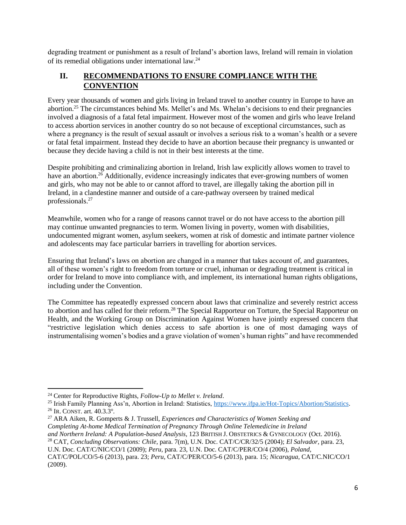degrading treatment or punishment as a result of Ireland's abortion laws, Ireland will remain in violation of its remedial obligations under international law.<sup>24</sup>

## **II. RECOMMENDATIONS TO ENSURE COMPLIANCE WITH THE CONVENTION**

Every year thousands of women and girls living in Ireland travel to another country in Europe to have an abortion.<sup>25</sup> The circumstances behind Ms. Mellet's and Ms. Whelan's decisions to end their pregnancies involved a diagnosis of a fatal fetal impairment. However most of the women and girls who leave Ireland to access abortion services in another country do so not because of exceptional circumstances, such as where a pregnancy is the result of sexual assault or involves a serious risk to a woman's health or a severe or fatal fetal impairment. Instead they decide to have an abortion because their pregnancy is unwanted or because they decide having a child is not in their best interests at the time.

Despite prohibiting and criminalizing abortion in Ireland, Irish law explicitly allows women to travel to have an abortion.<sup>26</sup> Additionally, evidence increasingly indicates that ever-growing numbers of women and girls, who may not be able to or cannot afford to travel, are illegally taking the abortion pill in Ireland, in a clandestine manner and outside of a care-pathway overseen by trained medical professionals.<sup>27</sup>

Meanwhile, women who for a range of reasons cannot travel or do not have access to the abortion pill may continue unwanted pregnancies to term. Women living in poverty, women with disabilities, undocumented migrant women, asylum seekers, women at risk of domestic and intimate partner violence and adolescents may face particular barriers in travelling for abortion services.

Ensuring that Ireland's laws on abortion are changed in a manner that takes account of, and guarantees, all of these women's right to freedom from torture or cruel, inhuman or degrading treatment is critical in order for Ireland to move into compliance with, and implement, its international human rights obligations, including under the Convention.

The Committee has repeatedly expressed concern about laws that criminalize and severely restrict access to abortion and has called for their reform.<sup>28</sup> The Special Rapporteur on Torture, the Special Rapporteur on Health, and the Working Group on Discrimination Against Women have jointly expressed concern that "restrictive legislation which denies access to safe abortion is one of most damaging ways of instrumentalising women's bodies and a grave violation of women's human rights" and have recommended

<sup>24</sup> Center for Reproductive Rights, *Follow-Up to Mellet v. Ireland*.

<sup>25</sup> Irish Family Planning Ass'n, Abortion in Ireland: Statistics, [https://www.ifpa.ie/Hot-Topics/Abortion/Statistics.](https://www.ifpa.ie/Hot-Topics/Abortion/Statistics)  $^{26}$  IR. CONST. art.  $40.3.3^{\circ}$ .

<sup>27</sup> ARA Aiken, R. Gomperts & J. Trussell, *Experiences and Characteristics of Women Seeking and Completing At-home Medical Termination of Pregnancy Through Online Telemedicine in Ireland and Northern Ireland: A Population-based Analysis*, 123 BRITISH J. OBSTETRICS & GYNECOLOGY (Oct. 2016). <sup>28</sup> CAT, *Concluding Observations: Chile*, para. 7(m), U.N. Doc. CAT/C/CR/32/5 (2004); *El Salvador*, para. 23, U.N. Doc. CAT/C/NIC/CO/1 (2009); *Peru*, para. 23, U.N. Doc. CAT/C/PER/CO/4 (2006), *Poland*, CAT/C/POL/CO/5-6 (2013), para. 23; *Peru*, CAT/C/PER/CO/5-6 (2013), para. 15; *Nicaragua*, CAT/C.NIC/CO/1 (2009).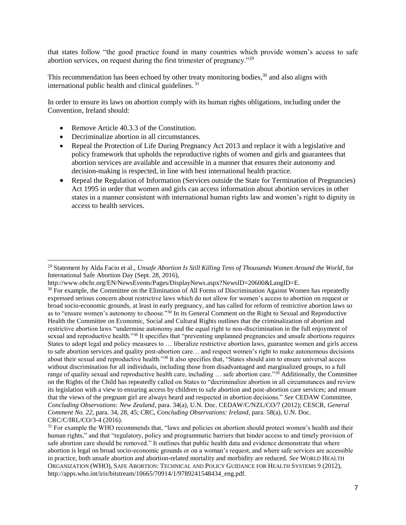that states follow "the good practice found in many countries which provide women's access to safe abortion services, on request during the first trimester of pregnancy."<sup>29</sup>

This recommendation has been echoed by other treaty monitoring bodies,<sup>30</sup> and also aligns with international public health and clinical guidelines. <sup>31</sup>

In order to ensure its laws on abortion comply with its human rights obligations, including under the Convention, Ireland should:

Remove Article 40.3.3 of the Constitution.

- Decriminalize abortion in all circumstances.
- Repeal the Protection of Life During Pregnancy Act 2013 and replace it with a legislative and policy framework that upholds the reproductive rights of women and girls and guarantees that abortion services are available and accessible in a manner that ensures their autonomy and decision-making is respected, in line with best international health practice.
- Repeal the Regulation of Information (Services outside the State for Termination of Pregnancies) Act 1995 in order that women and girls can access information about abortion services in other states in a manner consistent with international human rights law and women's right to dignity in access to health services.

<sup>29</sup> Statement by Alda Facio et al., *Unsafe Abortion Is Still Killing Tens of Thousands Women Around the World*, for International Safe Abortion Day (Sept. 28, 2016),

http://www.ohchr.org/EN/NewsEvents/Pages/DisplayNews.aspx?NewsID=20600&LangID=E.

<sup>&</sup>lt;sup>30</sup> For example, the Committee on the Elimination of All Forms of Discrimination Against Women has repeatedly expressed serious concern about restrictive laws which do not allow for women's access to abortion on request or broad socio-economic grounds, at least in early pregnancy, and has called for reform of restrictive abortion laws so as to "ensure women's autonomy to choose."<sup>30</sup> In its General Comment on the Right to Sexual and Reproductive Health the Committee on Economic, Social and Cultural Rights outlines that the criminalization of abortion and restrictive abortion laws "undermine autonomy and the equal right to non-discrimination in the full enjoyment of sexual and reproductive health."<sup>30</sup> It specifies that "preventing unplanned pregnancies and unsafe abortions requires States to adopt legal and policy measures to … liberalize restrictive abortion laws, guarantee women and girls access to safe abortion services and quality post-abortion care… and respect women's right to make autonomous decisions about their sexual and reproductive health."<sup>30</sup> It also specifies that, "States should aim to ensure universal access without discrimination for all individuals, including those from disadvantaged and marginalized groups, to a full range of quality sexual and reproductive health care, including  $\ldots$  safe abortion care."<sup>30</sup> Additionally, the Committee on the Rights of the Child has repeatedly called on States to "decriminalize abortion in all circumstances and review its legislation with a view to ensuring access by children to safe abortion and post-abortion care services; and ensure that the views of the pregnant girl are always heard and respected in abortion decisions." *See* CEDAW Committee, *Concluding Observations: New Zealand*, para. 34(a), U.N. Doc. CEDAW/C/NZL/CO/7 (2012); CESCR, *General Comment No. 22*, para. 34, 28, 45; CRC, *Concluding Observations: Ireland*, para. 58(a), U.N. Doc. CRC/C/IRL/CO/3-4 (2016).

<sup>&</sup>lt;sup>31</sup> For example the WHO recommends that, "laws and policies on abortion should protect women's health and their human rights," and that "regulatory, policy and programmatic barriers that hinder access to and timely provision of safe abortion care should be removed." It outlines that public health data and evidence demonstrate that where abortion is legal on broad socio-economic grounds or on a woman's request, and where safe services are accessible in practice, both unsafe abortion and abortion-related mortality and morbidity are reduced. *See* WORLD HEALTH ORGANIZATION (WHO), SAFE ABORTION: TECHNICAL AND POLICY GUIDANCE FOR HEALTH SYSTEMS 9 (2012), http://apps.who.int/iris/bitstream/10665/70914/1/9789241548434 eng.pdf.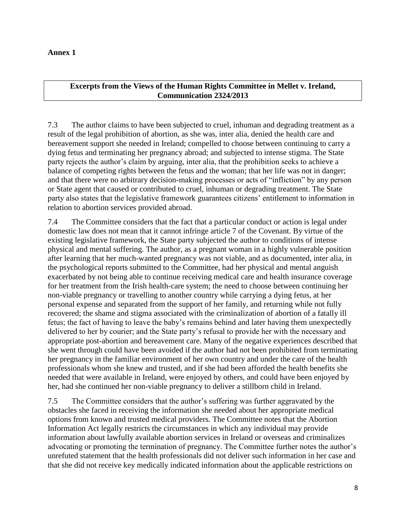#### **Annex 1**

#### **Excerpts from the Views of the Human Rights Committee in Mellet v. Ireland, Communication 2324/2013**

7.3 The author claims to have been subjected to cruel, inhuman and degrading treatment as a result of the legal prohibition of abortion, as she was, inter alia, denied the health care and bereavement support she needed in Ireland; compelled to choose between continuing to carry a dying fetus and terminating her pregnancy abroad; and subjected to intense stigma. The State party rejects the author's claim by arguing, inter alia, that the prohibition seeks to achieve a balance of competing rights between the fetus and the woman; that her life was not in danger; and that there were no arbitrary decision-making processes or acts of "infliction" by any person or State agent that caused or contributed to cruel, inhuman or degrading treatment. The State party also states that the legislative framework guarantees citizens' entitlement to information in relation to abortion services provided abroad.

7.4 The Committee considers that the fact that a particular conduct or action is legal under domestic law does not mean that it cannot infringe article 7 of the Covenant. By virtue of the existing legislative framework, the State party subjected the author to conditions of intense physical and mental suffering. The author, as a pregnant woman in a highly vulnerable position after learning that her much-wanted pregnancy was not viable, and as documented, inter alia, in the psychological reports submitted to the Committee, had her physical and mental anguish exacerbated by not being able to continue receiving medical care and health insurance coverage for her treatment from the Irish health-care system; the need to choose between continuing her non-viable pregnancy or travelling to another country while carrying a dying fetus, at her personal expense and separated from the support of her family, and returning while not fully recovered; the shame and stigma associated with the criminalization of abortion of a fatally ill fetus; the fact of having to leave the baby's remains behind and later having them unexpectedly delivered to her by courier; and the State party's refusal to provide her with the necessary and appropriate post-abortion and bereavement care. Many of the negative experiences described that she went through could have been avoided if the author had not been prohibited from terminating her pregnancy in the familiar environment of her own country and under the care of the health professionals whom she knew and trusted, and if she had been afforded the health benefits she needed that were available in Ireland, were enjoyed by others, and could have been enjoyed by her, had she continued her non-viable pregnancy to deliver a stillborn child in Ireland.

7.5 The Committee considers that the author's suffering was further aggravated by the obstacles she faced in receiving the information she needed about her appropriate medical options from known and trusted medical providers. The Committee notes that the Abortion Information Act legally restricts the circumstances in which any individual may provide information about lawfully available abortion services in Ireland or overseas and criminalizes advocating or promoting the termination of pregnancy. The Committee further notes the author's unrefuted statement that the health professionals did not deliver such information in her case and that she did not receive key medically indicated information about the applicable restrictions on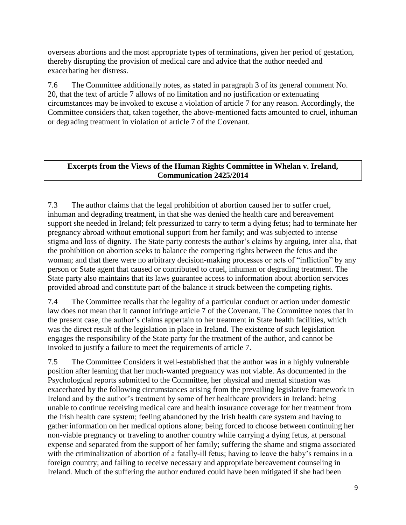overseas abortions and the most appropriate types of terminations, given her period of gestation, thereby disrupting the provision of medical care and advice that the author needed and exacerbating her distress.

7.6 The Committee additionally notes, as stated in paragraph 3 of its general comment No. 20, that the text of article 7 allows of no limitation and no justification or extenuating circumstances may be invoked to excuse a violation of article 7 for any reason. Accordingly, the Committee considers that, taken together, the above-mentioned facts amounted to cruel, inhuman or degrading treatment in violation of article 7 of the Covenant.

## **Excerpts from the Views of the Human Rights Committee in Whelan v. Ireland, Communication 2425/2014**

7.3 The author claims that the legal prohibition of abortion caused her to suffer cruel, inhuman and degrading treatment, in that she was denied the health care and bereavement support she needed in Ireland; felt pressurized to carry to term a dying fetus; had to terminate her pregnancy abroad without emotional support from her family; and was subjected to intense stigma and loss of dignity. The State party contests the author's claims by arguing, inter alia, that the prohibition on abortion seeks to balance the competing rights between the fetus and the woman; and that there were no arbitrary decision-making processes or acts of "infliction" by any person or State agent that caused or contributed to cruel, inhuman or degrading treatment. The State party also maintains that its laws guarantee access to information about abortion services provided abroad and constitute part of the balance it struck between the competing rights.

7.4 The Committee recalls that the legality of a particular conduct or action under domestic law does not mean that it cannot infringe article 7 of the Covenant. The Committee notes that in the present case, the author's claims appertain to her treatment in State health facilities, which was the direct result of the legislation in place in Ireland. The existence of such legislation engages the responsibility of the State party for the treatment of the author, and cannot be invoked to justify a failure to meet the requirements of article 7.

7.5 The Committee Considers it well-established that the author was in a highly vulnerable position after learning that her much-wanted pregnancy was not viable. As documented in the Psychological reports submitted to the Committee, her physical and mental situation was exacerbated by the following circumstances arising from the prevailing legislative framework in Ireland and by the author's treatment by some of her healthcare providers in Ireland: being unable to continue receiving medical care and health insurance coverage for her treatment from the Irish health care system; feeling abandoned by the Irish health care system and having to gather information on her medical options alone; being forced to choose between continuing her non-viable pregnancy or traveling to another country while carrying a dying fetus, at personal expense and separated from the support of her family; suffering the shame and stigma associated with the criminalization of abortion of a fatally-ill fetus; having to leave the baby's remains in a foreign country; and failing to receive necessary and appropriate bereavement counseling in Ireland. Much of the suffering the author endured could have been mitigated if she had been